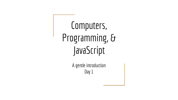Computers, Programming, & JavaScript

> A gentle introduction Day 1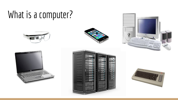### What is a computer?











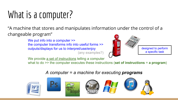### What is a computer?

"A machine that stores and manipulates information under the control of a changeable program"

> We put info into a computer  $\gg$ the computer transforms info into useful forms >> outputs/displays for us to interpret/use/enjoy (any examples?)



We provide a set of instructions telling a computer

what to do >> the computer executes these instructions (**set of instructions** = **a program**)

#### *A computer = a machine for executing programs*

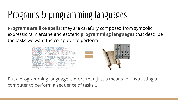### Programs & programming languages

**Programs are like spells:** they are carefully composed from symbolic expressions in arcane and esoteric **programming languages** that describe the tasks we want the computer to perform



But a programming language is more than just a means for instructing a computer to perform a sequence of tasks...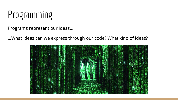### Programming

Programs represent our ideas...

...What ideas can we express through our code? What kind of ideas?

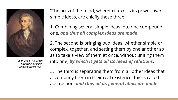

John Locke, *An Essay Concerning Human Understanding* (1690)

"The acts of the mind, wherein it exerts its power over simple ideas, are chiefly these three:

1. Combining several simple ideas into one compound one, *and thus all complex ideas are made*.

2. The second is bringing two ideas, whether simple or complex, together, and setting them by one another so as to take a view of them at once, without uniting them into one, *by which it gets all its ideas of relations*.

3. The third is separating them from all other ideas that accompany them in their real existence: this is called abstraction, *and thus all its general ideas are made*."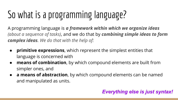# So what is a programming language?

A programming language is *a framework within which we organize ideas (about a sequence of tasks)*, and we do that by *combining simple ideas to form complex ideas. We do that with the help of:*

- **primitive expressions**, which represent the simplest entities that language is concerned with
- **means of combination**, by which compound elements are built from simpler ones, and
- **a means of abstraction**, by which compound elements can be named and manipulated as units.

### *Everything else is just syntax!*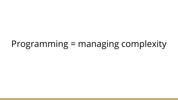### Programming = managing complexity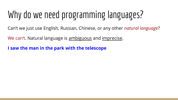### Why do we need programming languages?

Can't we just use English, Russian, Chinese, or any other *natural language*?

We can't. Natural language is ambiguous and imprecise.

**I saw the man in the park with the telescope**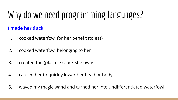# Why do we need programming languages?

### **I made her duck**

- 1. I cooked waterfowl for her benefit (to eat)
- 2. I cooked waterfowl belonging to her
- 3. I created the (plaster?) duck she owns
- 4. I caused her to quickly lower her head or body
- 5. I waved my magic wand and turned her into undifferentiated waterfowl